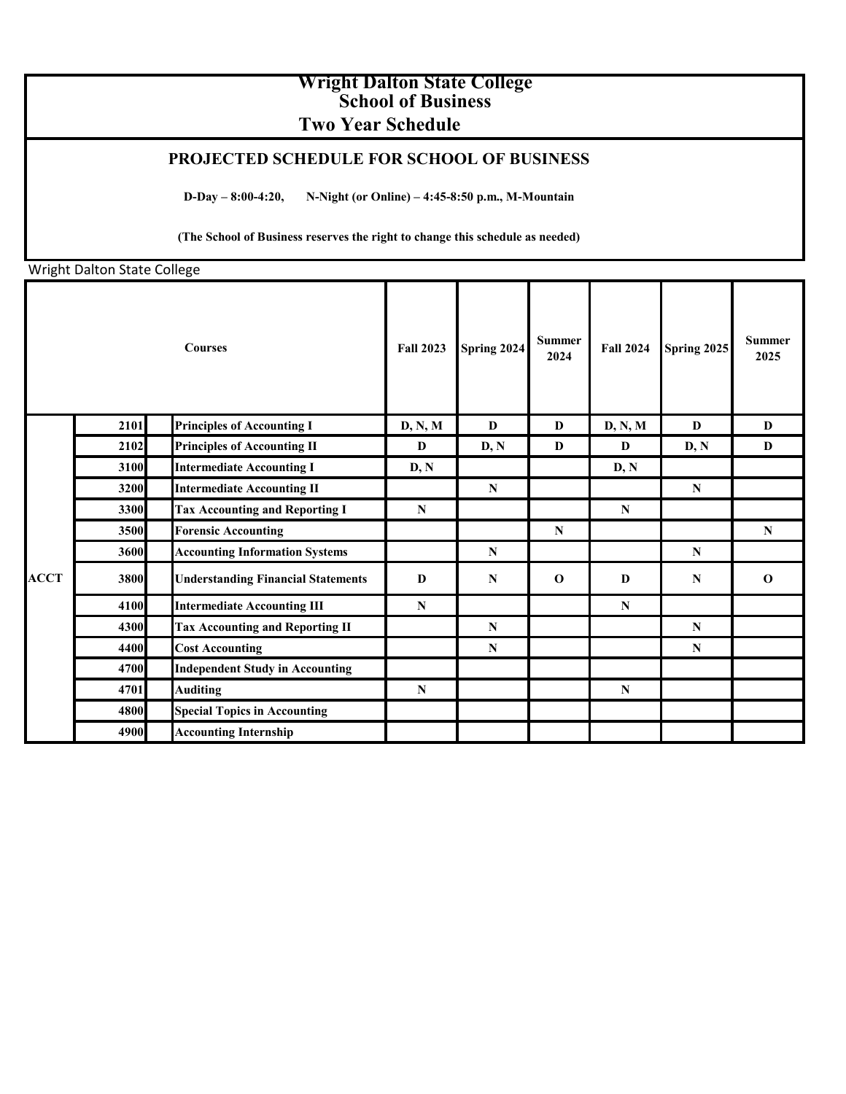## **Wright Dalton State College School of Business Two Year Schedule**

## **PROJECTED SCHEDULE FOR SCHOOL OF BUSINESS**

**D-Day – 8:00-4:20, N-Night (or Online) – 4:45-8:50 p.m., M-Mountain**

**(The School of Business reserves the right to change this schedule as needed)**

Wright Dalton State College

|             |      | <b>Courses</b>                            | <b>Fall 2023</b> | Spring 2024 | <b>Summer</b><br>2024 | <b>Fall 2024</b> | Spring 2025 | <b>Summer</b><br>2025 |
|-------------|------|-------------------------------------------|------------------|-------------|-----------------------|------------------|-------------|-----------------------|
|             | 2101 | <b>Principles of Accounting I</b>         | D, N, M          | D           | D                     | D, N, M          | D           | D                     |
|             | 2102 | <b>Principles of Accounting II</b>        | D                | D, N        | D                     | D                | D, N        | D                     |
|             | 3100 | <b>Intermediate Accounting I</b>          | D, N             |             |                       | D, N             |             |                       |
|             | 3200 | <b>Intermediate Accounting II</b>         |                  | $\mathbf N$ |                       |                  | ${\bf N}$   |                       |
|             | 3300 | <b>Tax Accounting and Reporting I</b>     | N                |             |                       | $\mathbf N$      |             |                       |
|             | 3500 | <b>Forensic Accounting</b>                |                  |             | $\mathbf N$           |                  |             | $\mathbf N$           |
|             | 3600 | <b>Accounting Information Systems</b>     |                  | ${\bf N}$   |                       |                  | N           |                       |
| <b>ACCT</b> | 3800 | <b>Understanding Financial Statements</b> | D                | $\mathbf N$ | $\mathbf{o}$          | D                | $\mathbf N$ | $\mathbf{o}$          |
|             | 4100 | <b>Intermediate Accounting III</b>        | N                |             |                       | N                |             |                       |
|             | 4300 | <b>Tax Accounting and Reporting II</b>    |                  | $\mathbf N$ |                       |                  | N           |                       |
|             | 4400 | <b>Cost Accounting</b>                    |                  | ${\bf N}$   |                       |                  | N           |                       |
|             | 4700 | <b>Independent Study in Accounting</b>    |                  |             |                       |                  |             |                       |
|             | 4701 | <b>Auditing</b>                           | $\mathbf N$      |             |                       | $\mathbf N$      |             |                       |
|             | 4800 | <b>Special Topics in Accounting</b>       |                  |             |                       |                  |             |                       |
|             | 4900 | <b>Accounting Internship</b>              |                  |             |                       |                  |             |                       |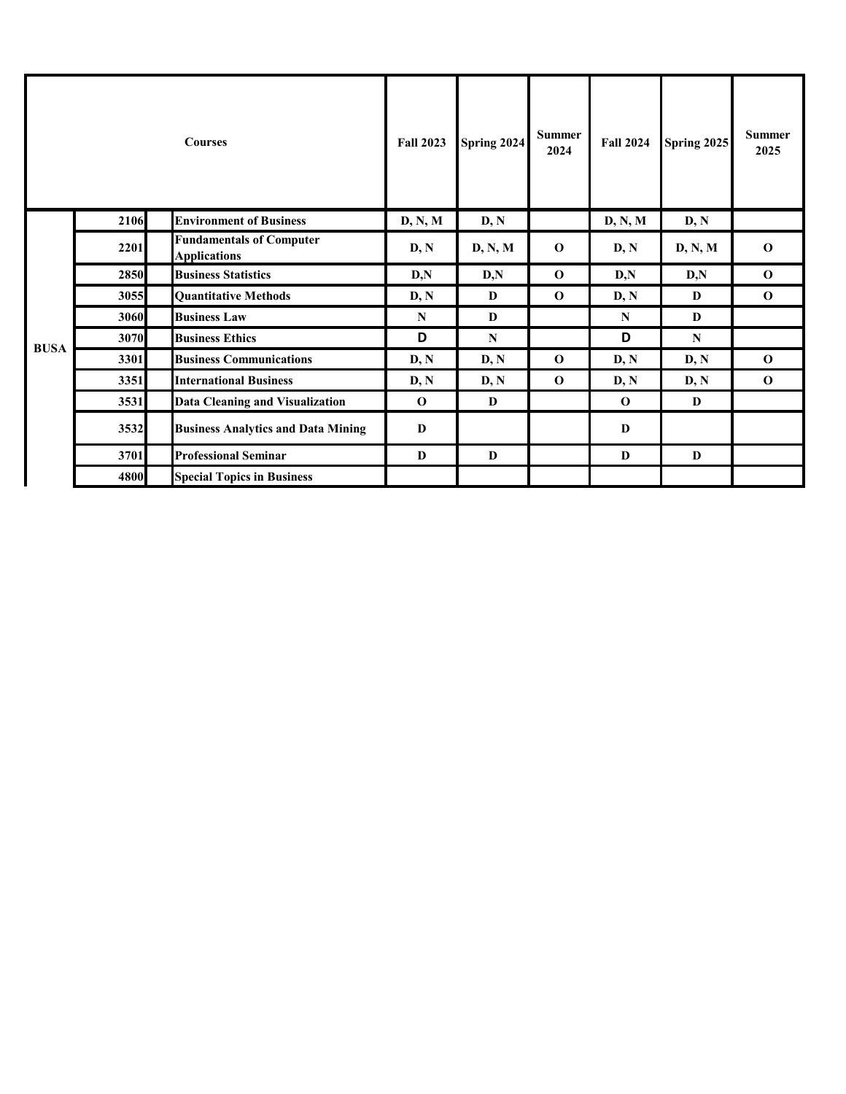|             |      | <b>Courses</b>                                         | <b>Fall 2023</b> | Spring 2024 | <b>Summer</b><br>2024 | <b>Fall 2024</b> | <b>Spring 2025</b> | <b>Summer</b><br>2025 |
|-------------|------|--------------------------------------------------------|------------------|-------------|-----------------------|------------------|--------------------|-----------------------|
|             | 2106 | <b>Environment of Business</b>                         | D, N, M          | D, N        |                       | D, N, M          | D, N               |                       |
|             | 2201 | <b>Fundamentals of Computer</b><br><b>Applications</b> | D, N             | D, N, M     | $\mathbf 0$           | D, N             | D, N, M            | $\mathbf 0$           |
|             | 2850 | <b>Business Statistics</b>                             | D, N             | D, N        | $\mathbf 0$           | D, N             | D, N               | $\mathbf 0$           |
|             | 3055 | <b>Quantitative Methods</b>                            | D, N             | D           | $\mathbf{o}$          | D, N             | D                  | $\mathbf{o}$          |
|             | 3060 | <b>Business Law</b>                                    | $\mathbf N$      | D           |                       | N                | D                  |                       |
| <b>BUSA</b> | 3070 | <b>Business Ethics</b>                                 | D                | $\mathbf N$ |                       | D                | N                  |                       |
|             | 3301 | <b>Business Communications</b>                         | D, N             | D, N        | $\mathbf 0$           | D, N             | D, N               | $\mathbf 0$           |
|             | 3351 | <b>International Business</b>                          | D, N             | D, N        | $\mathbf 0$           | D, N             | D, N               | $\mathbf 0$           |
|             | 3531 | <b>Data Cleaning and Visualization</b>                 | $\mathbf 0$      | D           |                       | $\mathbf{o}$     | D                  |                       |
|             | 3532 | <b>Business Analytics and Data Mining</b>              | D                |             |                       | D                |                    |                       |
|             | 3701 | <b>Professional Seminar</b>                            | D                | D           |                       | D                | D                  |                       |
|             | 4800 | <b>Special Topics in Business</b>                      |                  |             |                       |                  |                    |                       |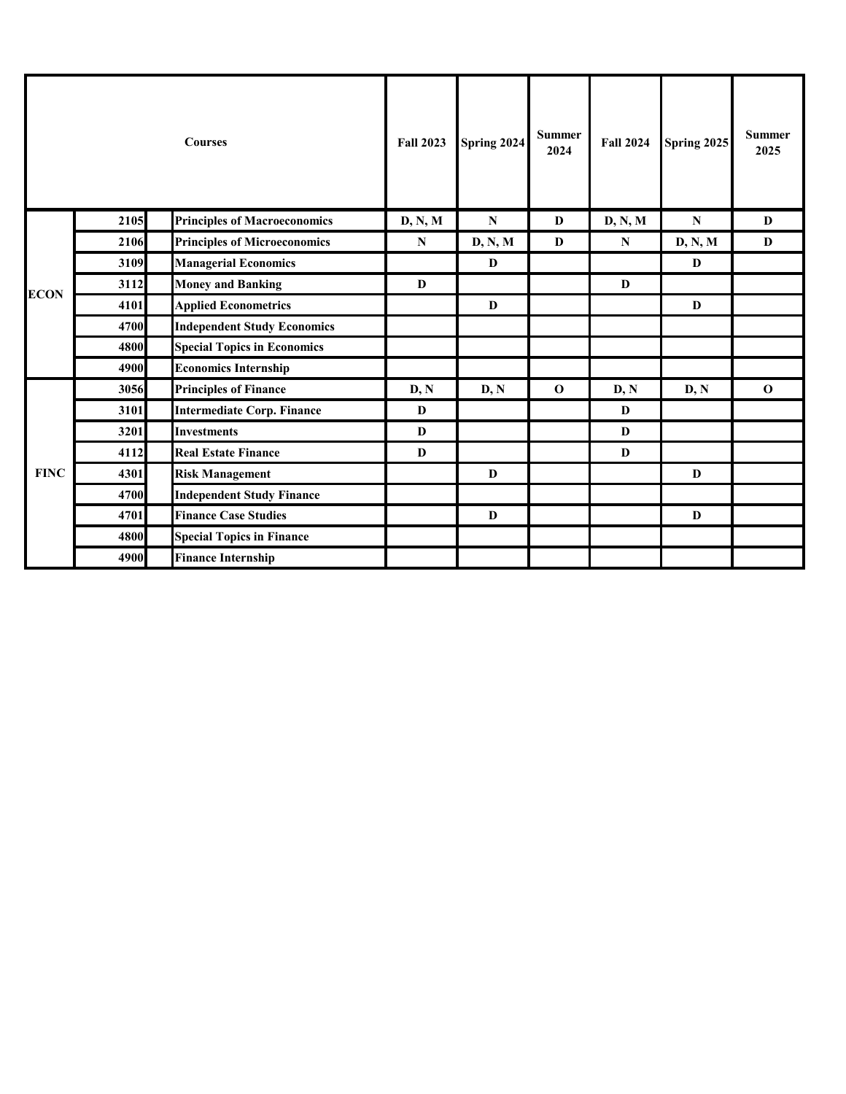|             |      | <b>Courses</b>                      | <b>Fall 2023</b> | Spring 2024  | <b>Summer</b><br>2024 | <b>Fall 2024</b> | <b>Spring 2025</b> | <b>Summer</b><br>2025 |
|-------------|------|-------------------------------------|------------------|--------------|-----------------------|------------------|--------------------|-----------------------|
|             | 2105 | <b>Principles of Macroeconomics</b> | D, N, M          | ${\bf N}$    | D                     | D, N, M          | $\mathbf N$        | D                     |
|             | 2106 | <b>Principles of Microeconomics</b> | $\mathbf N$      | D, N, M      | D                     | ${\bf N}$        | D, N, M            | D                     |
|             | 3109 | <b>Managerial Economics</b>         |                  | $\mathbf{D}$ |                       |                  | D                  |                       |
| <b>ECON</b> | 3112 | <b>Money and Banking</b>            | D                |              |                       | $\mathbf{D}$     |                    |                       |
|             | 4101 | <b>Applied Econometrics</b>         |                  | D            |                       |                  | D                  |                       |
|             | 4700 | <b>Independent Study Economics</b>  |                  |              |                       |                  |                    |                       |
|             | 4800 | <b>Special Topics in Economics</b>  |                  |              |                       |                  |                    |                       |
|             | 4900 | <b>Economics Internship</b>         |                  |              |                       |                  |                    |                       |
|             | 3056 | <b>Principles of Finance</b>        | D, N             | D, N         | $\mathbf 0$           | D, N             | D, N               | $\mathbf 0$           |
|             | 3101 | <b>Intermediate Corp. Finance</b>   | D                |              |                       | D                |                    |                       |
|             | 3201 | <b>Investments</b>                  | D                |              |                       | D                |                    |                       |
| <b>FINC</b> | 4112 | <b>Real Estate Finance</b>          | D                |              |                       | D                |                    |                       |
|             | 4301 | <b>Risk Management</b>              |                  | D            |                       |                  | D                  |                       |
|             | 4700 | <b>Independent Study Finance</b>    |                  |              |                       |                  |                    |                       |
|             | 4701 | <b>Finance Case Studies</b>         |                  | D            |                       |                  | D                  |                       |
|             | 4800 | <b>Special Topics in Finance</b>    |                  |              |                       |                  |                    |                       |
|             | 4900 | <b>Finance Internship</b>           |                  |              |                       |                  |                    |                       |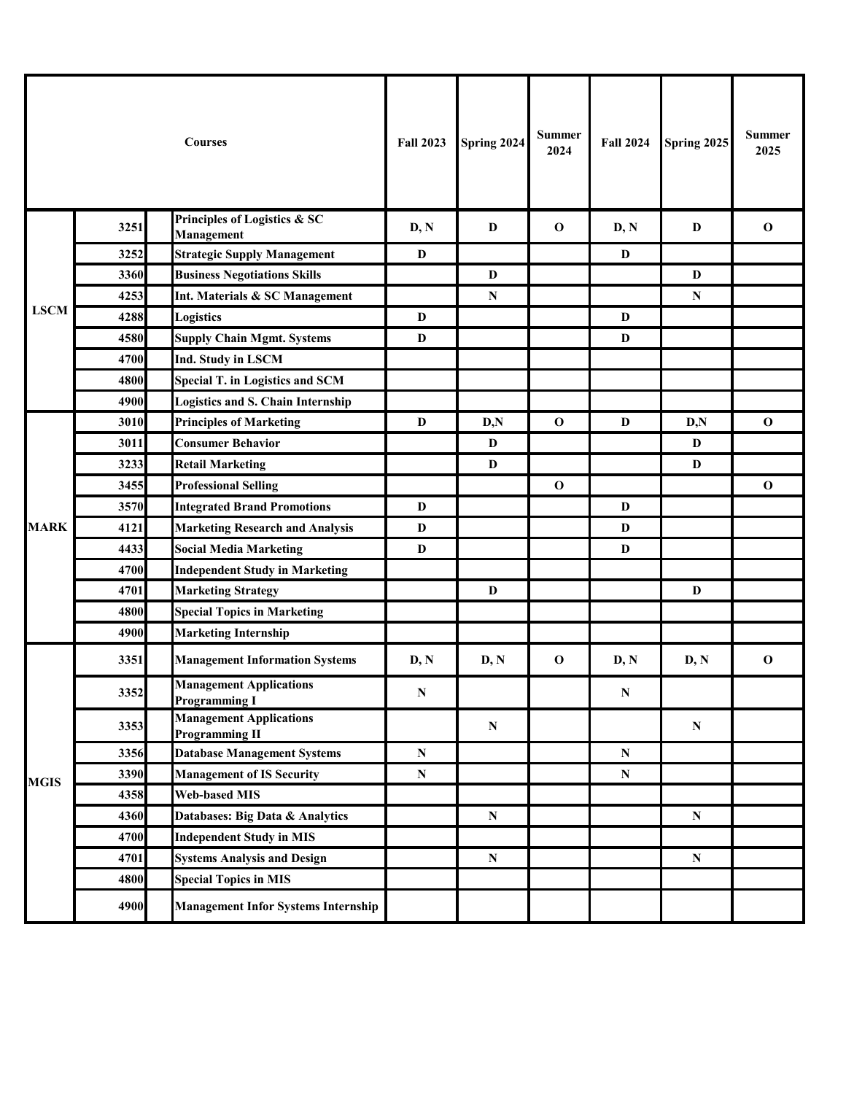|             |      | <b>Courses</b>                                          | <b>Fall 2023</b> | Spring 2024  | <b>Summer</b><br>2024 | <b>Fall 2024</b> | Spring 2025  | <b>Summer</b><br>2025 |
|-------------|------|---------------------------------------------------------|------------------|--------------|-----------------------|------------------|--------------|-----------------------|
|             | 3251 | Principles of Logistics & SC<br>Management              | D, N             | D            | $\mathbf 0$           | D, N             | D            | $\mathbf{o}$          |
|             | 3252 | <b>Strategic Supply Management</b>                      | D                |              |                       | D                |              |                       |
|             | 3360 | <b>Business Negotiations Skills</b>                     |                  | $\mathbf{D}$ |                       |                  | D            |                       |
|             | 4253 | Int. Materials & SC Management                          |                  | ${\bf N}$    |                       |                  | $\mathbf N$  |                       |
| <b>LSCM</b> | 4288 | Logistics                                               | $\mathbf{D}$     |              |                       | $\mathbf{D}$     |              |                       |
|             | 4580 | <b>Supply Chain Mgmt. Systems</b>                       | D                |              |                       | $\mathbf{D}$     |              |                       |
|             | 4700 | <b>Ind. Study in LSCM</b>                               |                  |              |                       |                  |              |                       |
|             | 4800 | <b>Special T. in Logistics and SCM</b>                  |                  |              |                       |                  |              |                       |
|             | 4900 | <b>Logistics and S. Chain Internship</b>                |                  |              |                       |                  |              |                       |
|             | 3010 | <b>Principles of Marketing</b>                          | D                | D, N         | $\mathbf 0$           | D                | D, N         | $\mathbf 0$           |
|             | 3011 | <b>Consumer Behavior</b>                                |                  | D            |                       |                  | D            |                       |
|             | 3233 | <b>Retail Marketing</b>                                 |                  | $\mathbf{D}$ |                       |                  | D            |                       |
|             | 3455 | <b>Professional Selling</b>                             |                  |              | $\mathbf 0$           |                  |              | $\mathbf 0$           |
|             | 3570 | <b>Integrated Brand Promotions</b>                      | D                |              |                       | D                |              |                       |
| <b>MARK</b> | 4121 | <b>Marketing Research and Analysis</b>                  | D                |              |                       | D                |              |                       |
|             | 4433 | <b>Social Media Marketing</b>                           | D                |              |                       | $\mathbf{D}$     |              |                       |
|             | 4700 | <b>Independent Study in Marketing</b>                   |                  |              |                       |                  |              |                       |
|             | 4701 | <b>Marketing Strategy</b>                               |                  | D            |                       |                  | $\mathbf{D}$ |                       |
|             | 4800 | <b>Special Topics in Marketing</b>                      |                  |              |                       |                  |              |                       |
|             | 4900 | <b>Marketing Internship</b>                             |                  |              |                       |                  |              |                       |
|             | 3351 | <b>Management Information Systems</b>                   | D, N             | D, N         | $\mathbf 0$           | D, N             | D, N         | $\mathbf 0$           |
|             | 3352 | <b>Management Applications</b><br><b>Programming I</b>  | $\mathbf N$      |              |                       | ${\bf N}$        |              |                       |
|             | 3353 | <b>Management Applications</b><br><b>Programming II</b> |                  | ${\bf N}$    |                       |                  | ${\bf N}$    |                       |
|             | 3356 | <b>Database Management Systems</b>                      | ${\bf N}$        |              |                       | ${\bf N}$        |              |                       |
| <b>MGIS</b> | 3390 | <b>Management of IS Security</b>                        | N                |              |                       | ${\bf N}$        |              |                       |
|             | 4358 | <b>Web-based MIS</b>                                    |                  |              |                       |                  |              |                       |
|             | 4360 | Databases: Big Data & Analytics                         |                  | ${\bf N}$    |                       |                  | ${\bf N}$    |                       |
|             | 4700 | <b>Independent Study in MIS</b>                         |                  |              |                       |                  |              |                       |
|             | 4701 | <b>Systems Analysis and Design</b>                      |                  | ${\bf N}$    |                       |                  | ${\bf N}$    |                       |
|             | 4800 | <b>Special Topics in MIS</b>                            |                  |              |                       |                  |              |                       |
|             | 4900 | <b>Management Infor Systems Internship</b>              |                  |              |                       |                  |              |                       |